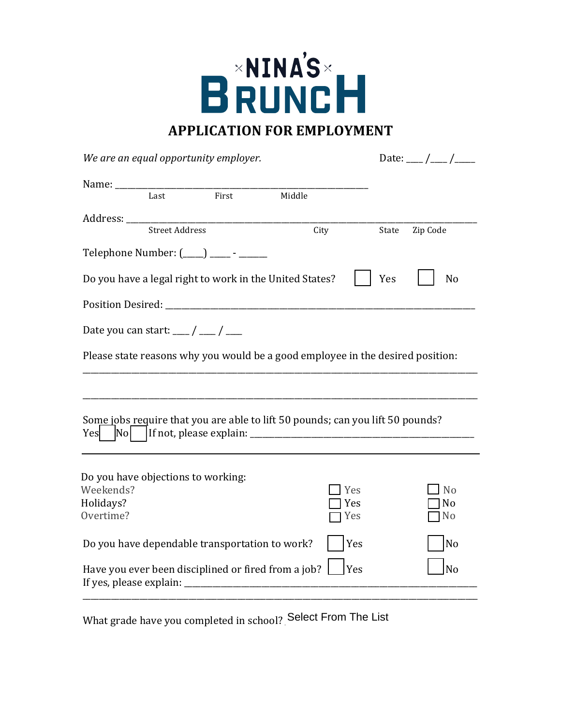

| We are an equal opportunity employer.                           |                       |                                                                                |        |                   |       | Date: $\frac{\ }{2}$ / $\frac{\ }{2}$              |  |
|-----------------------------------------------------------------|-----------------------|--------------------------------------------------------------------------------|--------|-------------------|-------|----------------------------------------------------|--|
|                                                                 | Last                  | First                                                                          | Middle |                   |       |                                                    |  |
|                                                                 | <b>Street Address</b> |                                                                                |        | City              | State | Zip Code                                           |  |
|                                                                 |                       | Telephone Number: (____) _____ - ______                                        |        |                   |       |                                                    |  |
|                                                                 |                       | Do you have a legal right to work in the United States?                        |        |                   | Yes   | N <sub>o</sub>                                     |  |
|                                                                 |                       |                                                                                |        |                   |       |                                                    |  |
| Date you can start: $\frac{1}{\sqrt{2}}$ / $\frac{1}{\sqrt{2}}$ |                       |                                                                                |        |                   |       |                                                    |  |
|                                                                 |                       | Please state reasons why you would be a good employee in the desired position: |        |                   |       |                                                    |  |
|                                                                 |                       |                                                                                |        |                   |       |                                                    |  |
|                                                                 |                       | Some jobs require that you are able to lift 50 pounds; can you lift 50 pounds? |        |                   |       |                                                    |  |
| Weekends?<br>Holidays?<br>Overtime?                             |                       | Do you have objections to working:                                             |        | Yes<br>Yes<br>Yes |       | N <sub>o</sub><br>N <sub>0</sub><br>N <sub>o</sub> |  |
|                                                                 |                       | Do you have dependable transportation to work?                                 |        | Yes               |       | N <sub>o</sub>                                     |  |
| If yes, please explain:                                         |                       | Have you ever been disciplined or fired from a job?                            |        | Yes               |       | No                                                 |  |

\_\_\_\_\_\_\_\_\_\_\_\_\_\_\_\_\_\_\_\_\_\_\_\_\_\_\_\_\_\_\_\_\_\_\_\_\_\_\_\_\_\_\_\_\_\_\_\_\_\_\_\_\_\_\_\_\_\_\_\_\_\_\_\_\_\_\_\_\_\_\_\_\_\_\_\_\_\_\_\_\_\_\_\_\_\_\_\_\_\_\_\_\_\_\_\_\_

What grade have you completed in school? Select From The List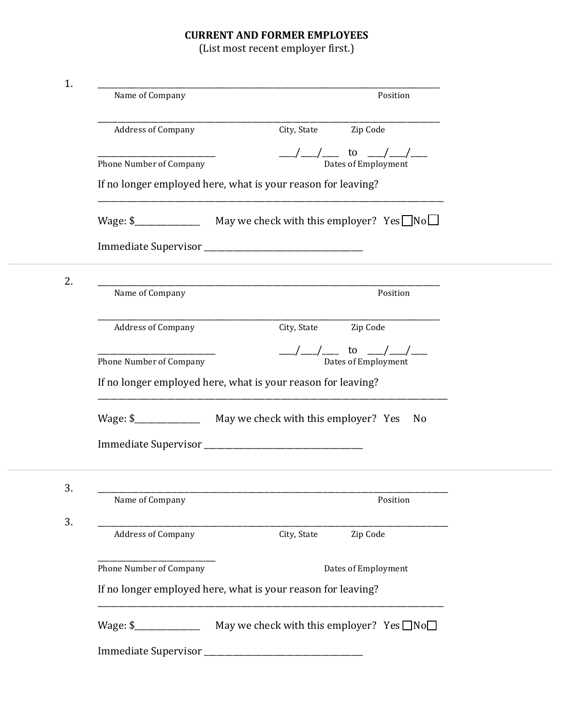## **CURRENT AND FORMER EMPLOYEES**

(List most recent employer first.)

| 1. | Name of Company                                              | Position                                                                  |  |  |  |  |
|----|--------------------------------------------------------------|---------------------------------------------------------------------------|--|--|--|--|
|    | <b>Address of Company</b>                                    | Zip Code<br>City, State                                                   |  |  |  |  |
|    | Phone Number of Company                                      | to<br>Dates of Employment                                                 |  |  |  |  |
|    | If no longer employed here, what is your reason for leaving? |                                                                           |  |  |  |  |
|    |                                                              | Wage: $\frac{1}{2}$ May we check with this employer? Yes $\Box$ No $\Box$ |  |  |  |  |
|    |                                                              |                                                                           |  |  |  |  |
| 2. | Name of Company                                              | Position                                                                  |  |  |  |  |
|    | <b>Address of Company</b>                                    | Zip Code<br>City, State                                                   |  |  |  |  |
|    | Phone Number of Company                                      | to<br>Dates of Employment                                                 |  |  |  |  |
|    |                                                              | If no longer employed here, what is your reason for leaving?              |  |  |  |  |
|    |                                                              | N <sub>0</sub>                                                            |  |  |  |  |
|    |                                                              |                                                                           |  |  |  |  |
| 3. |                                                              |                                                                           |  |  |  |  |
|    | Name of Company                                              | Position                                                                  |  |  |  |  |
| 3. | Address of Company                                           | City, State<br>Zip Code                                                   |  |  |  |  |
|    | Phone Number of Company                                      | Dates of Employment                                                       |  |  |  |  |
|    | If no longer employed here, what is your reason for leaving? |                                                                           |  |  |  |  |
|    |                                                              | Wage: $\frac{1}{2}$ May we check with this employer? Yes $\Box$ No $\Box$ |  |  |  |  |
|    |                                                              |                                                                           |  |  |  |  |
|    |                                                              |                                                                           |  |  |  |  |